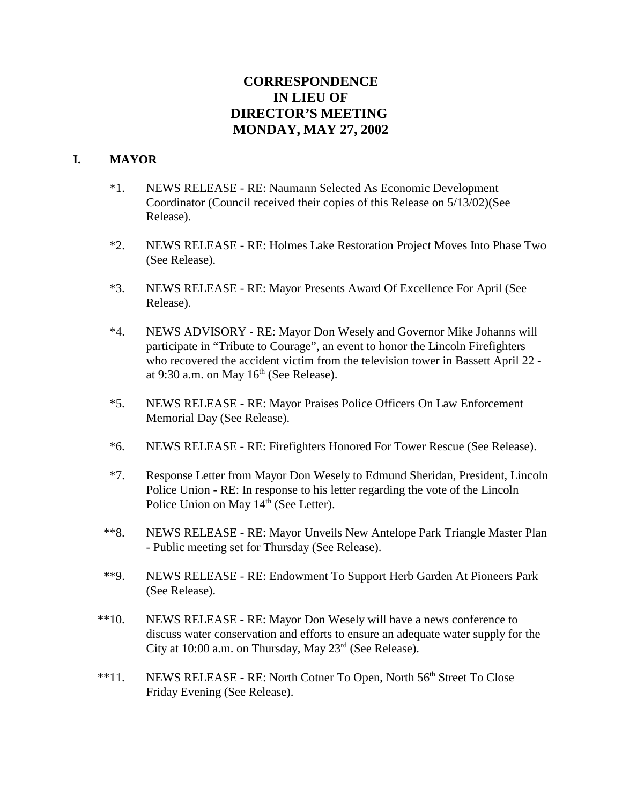# **CORRESPONDENCE IN LIEU OF DIRECTOR'S MEETING MONDAY, MAY 27, 2002**

#### **I. MAYOR**

- \*1. NEWS RELEASE RE: Naumann Selected As Economic Development Coordinator (Council received their copies of this Release on 5/13/02)(See Release).
- \*2. NEWS RELEASE RE: Holmes Lake Restoration Project Moves Into Phase Two (See Release).
- \*3. NEWS RELEASE RE: Mayor Presents Award Of Excellence For April (See Release).
- \*4. NEWS ADVISORY RE: Mayor Don Wesely and Governor Mike Johanns will participate in "Tribute to Courage", an event to honor the Lincoln Firefighters who recovered the accident victim from the television tower in Bassett April 22 at 9:30 a.m. on May  $16<sup>th</sup>$  (See Release).
- \*5. NEWS RELEASE RE: Mayor Praises Police Officers On Law Enforcement Memorial Day (See Release).
- \*6. NEWS RELEASE RE: Firefighters Honored For Tower Rescue (See Release).
- \*7. Response Letter from Mayor Don Wesely to Edmund Sheridan, President, Lincoln Police Union - RE: In response to his letter regarding the vote of the Lincoln Police Union on May  $14^{\text{th}}$  (See Letter).
- \*\*8. NEWS RELEASE RE: Mayor Unveils New Antelope Park Triangle Master Plan - Public meeting set for Thursday (See Release).
- **\***\*9. NEWS RELEASE RE: Endowment To Support Herb Garden At Pioneers Park (See Release).
- \*\*10. NEWS RELEASE RE: Mayor Don Wesely will have a news conference to discuss water conservation and efforts to ensure an adequate water supply for the City at 10:00 a.m. on Thursday, May  $23<sup>rd</sup>$  (See Release).
- <sup>\*\*</sup>11. NEWS RELEASE RE: North Cotner To Open, North 56<sup>th</sup> Street To Close Friday Evening (See Release).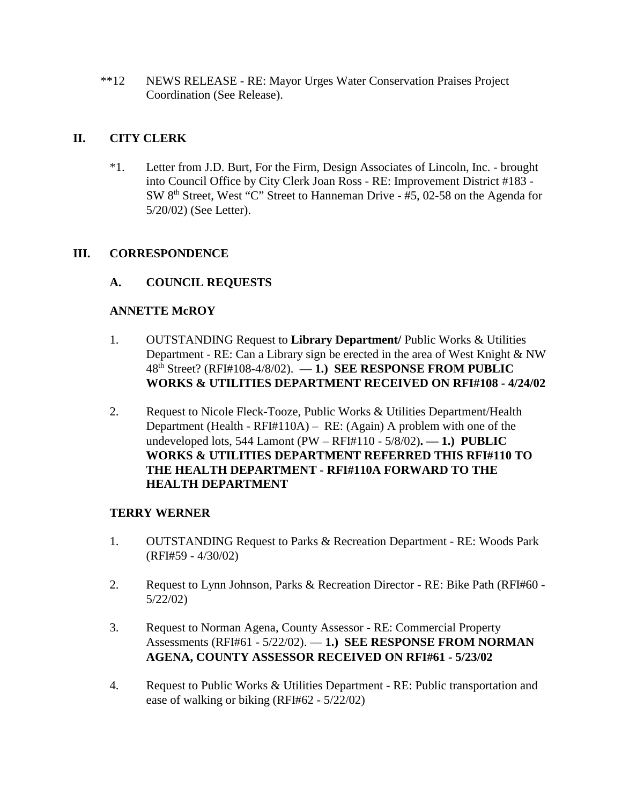\*\*12 NEWS RELEASE - RE: Mayor Urges Water Conservation Praises Project Coordination (See Release).

## **II. CITY CLERK**

\*1. Letter from J.D. Burt, For the Firm, Design Associates of Lincoln, Inc. - brought into Council Office by City Clerk Joan Ross - RE: Improvement District #183 - SW 8th Street, West "C" Street to Hanneman Drive - #5, 02-58 on the Agenda for 5/20/02) (See Letter).

#### **III. CORRESPONDENCE**

## **A. COUNCIL REQUESTS**

#### **ANNETTE McROY**

- 1. OUTSTANDING Request to **Library Department/** Public Works & Utilities Department - RE: Can a Library sign be erected in the area of West Knight & NW 48th Street? (RFI#108-4/8/02). — **1.) SEE RESPONSE FROM PUBLIC WORKS & UTILITIES DEPARTMENT RECEIVED ON RFI#108 - 4/24/02**
- 2. Request to Nicole Fleck-Tooze, Public Works & Utilities Department/Health Department (Health - RFI#110A) – RE: (Again) A problem with one of the undeveloped lots, 544 Lamont (PW – RFI#110 - 5/8/02)**. — 1.) PUBLIC WORKS & UTILITIES DEPARTMENT REFERRED THIS RFI#110 TO THE HEALTH DEPARTMENT - RFI#110A FORWARD TO THE HEALTH DEPARTMENT**

#### **TERRY WERNER**

- 1. OUTSTANDING Request to Parks & Recreation Department RE: Woods Park (RFI#59 - 4/30/02)
- 2. Request to Lynn Johnson, Parks & Recreation Director RE: Bike Path (RFI#60 5/22/02)
- 3. Request to Norman Agena, County Assessor RE: Commercial Property Assessments (RFI#61 - 5/22/02). — **1.) SEE RESPONSE FROM NORMAN AGENA, COUNTY ASSESSOR RECEIVED ON RFI#61 - 5/23/02**
- 4. Request to Public Works & Utilities Department RE: Public transportation and ease of walking or biking (RFI#62 - 5/22/02)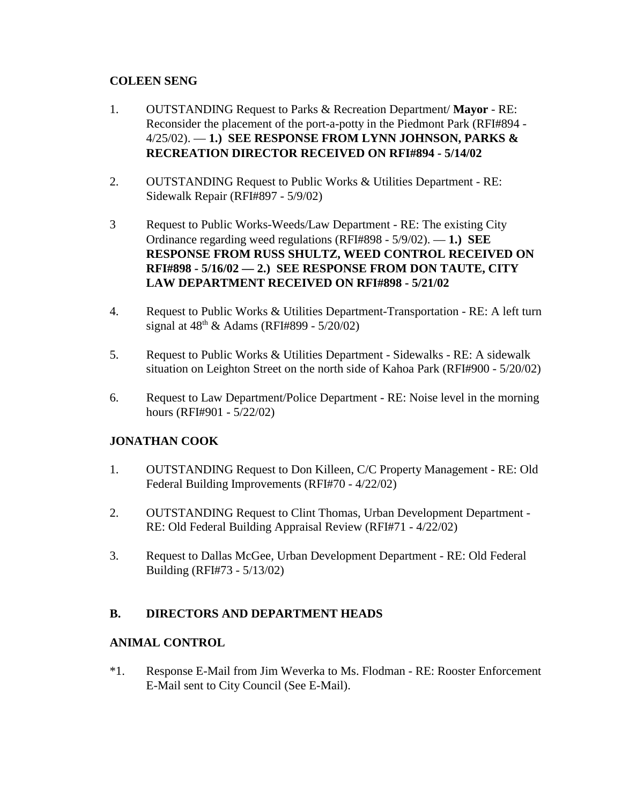## **COLEEN SENG**

- 1. OUTSTANDING Request to Parks & Recreation Department/ **Mayor** RE: Reconsider the placement of the port-a-potty in the Piedmont Park (RFI#894 - 4/25/02). — **1.) SEE RESPONSE FROM LYNN JOHNSON, PARKS & RECREATION DIRECTOR RECEIVED ON RFI#894 - 5/14/02**
- 2. OUTSTANDING Request to Public Works & Utilities Department RE: Sidewalk Repair (RFI#897 - 5/9/02)
- 3 Request to Public Works-Weeds/Law Department RE: The existing City Ordinance regarding weed regulations (RFI#898 - 5/9/02). — **1.) SEE RESPONSE FROM RUSS SHULTZ, WEED CONTROL RECEIVED ON RFI#898 - 5/16/02 — 2.) SEE RESPONSE FROM DON TAUTE, CITY LAW DEPARTMENT RECEIVED ON RFI#898 - 5/21/02**
- 4. Request to Public Works & Utilities Department-Transportation RE: A left turn signal at  $48^{th}$  & Adams (RFI#899 - 5/20/02)
- 5. Request to Public Works & Utilities Department Sidewalks RE: A sidewalk situation on Leighton Street on the north side of Kahoa Park (RFI#900 - 5/20/02)
- 6. Request to Law Department/Police Department RE: Noise level in the morning hours (RFI#901 - 5/22/02)

# **JONATHAN COOK**

- 1. OUTSTANDING Request to Don Killeen, C/C Property Management RE: Old Federal Building Improvements (RFI#70 - 4/22/02)
- 2. OUTSTANDING Request to Clint Thomas, Urban Development Department RE: Old Federal Building Appraisal Review (RFI#71 - 4/22/02)
- 3. Request to Dallas McGee, Urban Development Department RE: Old Federal Building (RFI#73 - 5/13/02)

# **B. DIRECTORS AND DEPARTMENT HEADS**

#### **ANIMAL CONTROL**

\*1. Response E-Mail from Jim Weverka to Ms. Flodman - RE: Rooster Enforcement E-Mail sent to City Council (See E-Mail).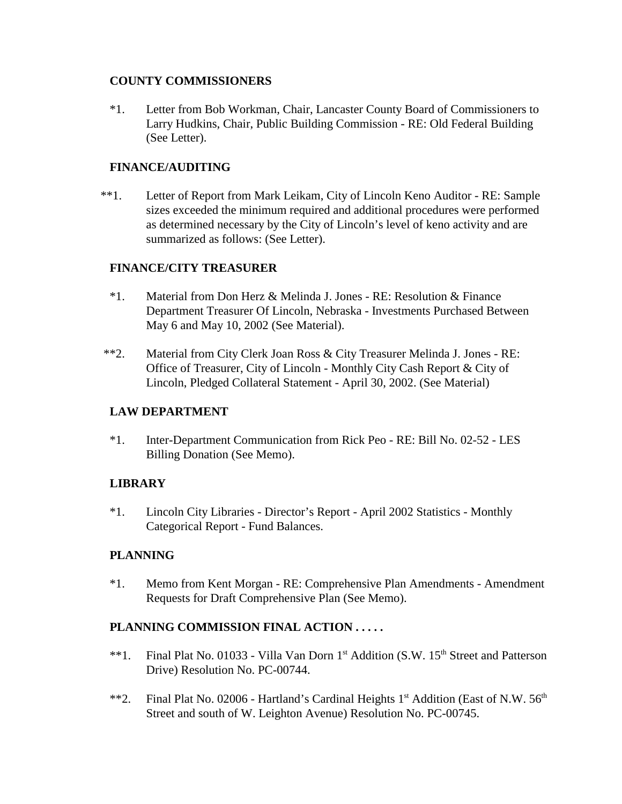#### **COUNTY COMMISSIONERS**

\*1. Letter from Bob Workman, Chair, Lancaster County Board of Commissioners to Larry Hudkins, Chair, Public Building Commission - RE: Old Federal Building (See Letter).

## **FINANCE/AUDITING**

\*\*1.Letter of Report from Mark Leikam, City of Lincoln Keno Auditor - RE: Sample sizes exceeded the minimum required and additional procedures were performed as determined necessary by the City of Lincoln's level of keno activity and are summarized as follows: (See Letter).

#### **FINANCE/CITY TREASURER**

- \*1. Material from Don Herz & Melinda J. Jones RE: Resolution & Finance Department Treasurer Of Lincoln, Nebraska - Investments Purchased Between May 6 and May 10, 2002 (See Material).
- \*\*2. Material from City Clerk Joan Ross & City Treasurer Melinda J. Jones RE: Office of Treasurer, City of Lincoln - Monthly City Cash Report & City of Lincoln, Pledged Collateral Statement - April 30, 2002. (See Material)

#### **LAW DEPARTMENT**

\*1. Inter-Department Communication from Rick Peo - RE: Bill No. 02-52 - LES Billing Donation (See Memo).

# **LIBRARY**

\*1. Lincoln City Libraries - Director's Report - April 2002 Statistics - Monthly Categorical Report - Fund Balances.

#### **PLANNING**

\*1. Memo from Kent Morgan - RE: Comprehensive Plan Amendments - Amendment Requests for Draft Comprehensive Plan (See Memo).

#### **PLANNING COMMISSION FINAL ACTION . . . . .**

- \*\*1. Final Plat No. 01033 Villa Van Dorn 1<sup>st</sup> Addition (S.W. 15<sup>th</sup> Street and Patterson Drive) Resolution No. PC-00744.
- \*\*2. Final Plat No. 02006 Hartland's Cardinal Heights  $1<sup>st</sup>$  Addition (East of N.W.  $56<sup>th</sup>$ Street and south of W. Leighton Avenue) Resolution No. PC-00745.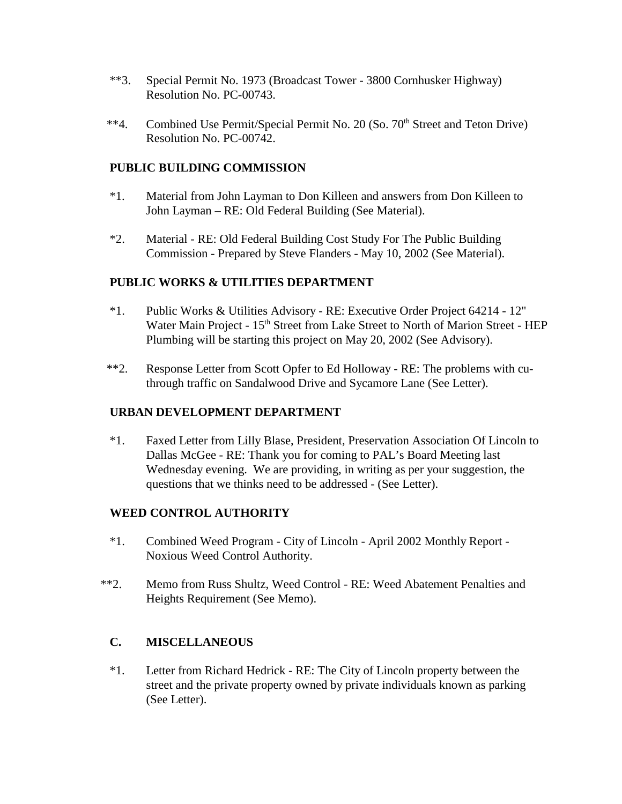- \*\*3. Special Permit No. 1973 (Broadcast Tower 3800 Cornhusker Highway) Resolution No. PC-00743.
- <sup>\*\*</sup>4. Combined Use Permit/Special Permit No. 20 (So. 70<sup>th</sup> Street and Teton Drive) Resolution No. PC-00742.

#### **PUBLIC BUILDING COMMISSION**

- \*1. Material from John Layman to Don Killeen and answers from Don Killeen to John Layman – RE: Old Federal Building (See Material).
- \*2. Material RE: Old Federal Building Cost Study For The Public Building Commission - Prepared by Steve Flanders - May 10, 2002 (See Material).

## **PUBLIC WORKS & UTILITIES DEPARTMENT**

- \*1. Public Works & Utilities Advisory RE: Executive Order Project 64214 12" Water Main Project - 15<sup>th</sup> Street from Lake Street to North of Marion Street - HEP Plumbing will be starting this project on May 20, 2002 (See Advisory).
- \*\*2. Response Letter from Scott Opfer to Ed Holloway RE: The problems with cuthrough traffic on Sandalwood Drive and Sycamore Lane (See Letter).

#### **URBAN DEVELOPMENT DEPARTMENT**

\*1. Faxed Letter from Lilly Blase, President, Preservation Association Of Lincoln to Dallas McGee - RE: Thank you for coming to PAL's Board Meeting last Wednesday evening. We are providing, in writing as per your suggestion, the questions that we thinks need to be addressed - (See Letter).

#### **WEED CONTROL AUTHORITY**

- \*1. Combined Weed Program City of Lincoln April 2002 Monthly Report Noxious Weed Control Authority.
- \*\*2. Memo from Russ Shultz, Weed Control RE: Weed Abatement Penalties and Heights Requirement (See Memo).

# **C. MISCELLANEOUS**

\*1. Letter from Richard Hedrick - RE: The City of Lincoln property between the street and the private property owned by private individuals known as parking (See Letter).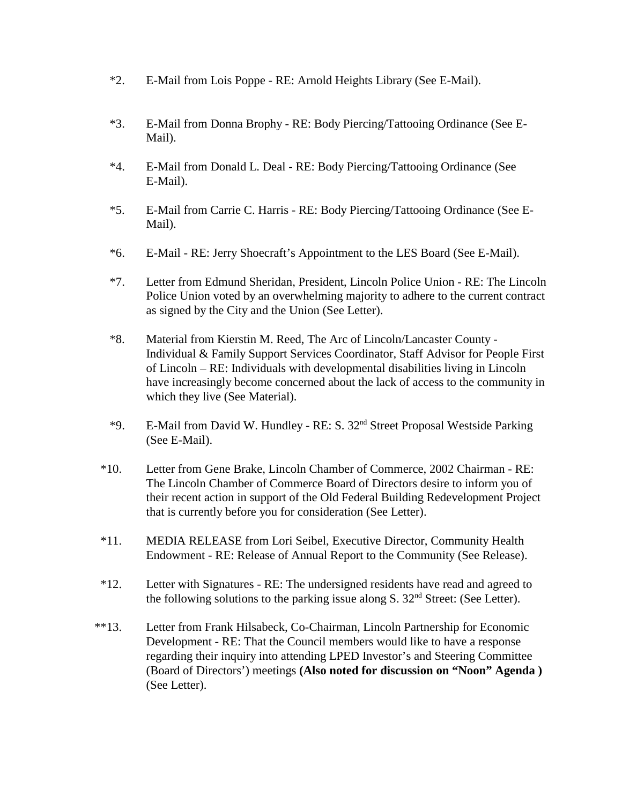- \*2. E-Mail from Lois Poppe RE: Arnold Heights Library (See E-Mail).
- \*3. E-Mail from Donna Brophy RE: Body Piercing/Tattooing Ordinance (See E-Mail).
- \*4. E-Mail from Donald L. Deal RE: Body Piercing/Tattooing Ordinance (See E-Mail).
- \*5. E-Mail from Carrie C. Harris RE: Body Piercing/Tattooing Ordinance (See E-Mail).
- \*6. E-Mail RE: Jerry Shoecraft's Appointment to the LES Board (See E-Mail).
- \*7. Letter from Edmund Sheridan, President, Lincoln Police Union RE: The Lincoln Police Union voted by an overwhelming majority to adhere to the current contract as signed by the City and the Union (See Letter).
- \*8. Material from Kierstin M. Reed, The Arc of Lincoln/Lancaster County Individual & Family Support Services Coordinator, Staff Advisor for People First of Lincoln – RE: Individuals with developmental disabilities living in Lincoln have increasingly become concerned about the lack of access to the community in which they live (See Material).
- \*9. E-Mail from David W. Hundley RE: S. 32nd Street Proposal Westside Parking (See E-Mail).
- \*10. Letter from Gene Brake, Lincoln Chamber of Commerce, 2002 Chairman RE: The Lincoln Chamber of Commerce Board of Directors desire to inform you of their recent action in support of the Old Federal Building Redevelopment Project that is currently before you for consideration (See Letter).
- \*11. MEDIA RELEASE from Lori Seibel, Executive Director, Community Health Endowment - RE: Release of Annual Report to the Community (See Release).
- \*12. Letter with Signatures RE: The undersigned residents have read and agreed to the following solutions to the parking issue along  $S$ .  $32<sup>nd</sup>$  Street: (See Letter).
- \*\*13. Letter from Frank Hilsabeck, Co-Chairman, Lincoln Partnership for Economic Development - RE: That the Council members would like to have a response regarding their inquiry into attending LPED Investor's and Steering Committee (Board of Directors') meetings **(Also noted for discussion on "Noon" Agenda )**  (See Letter).